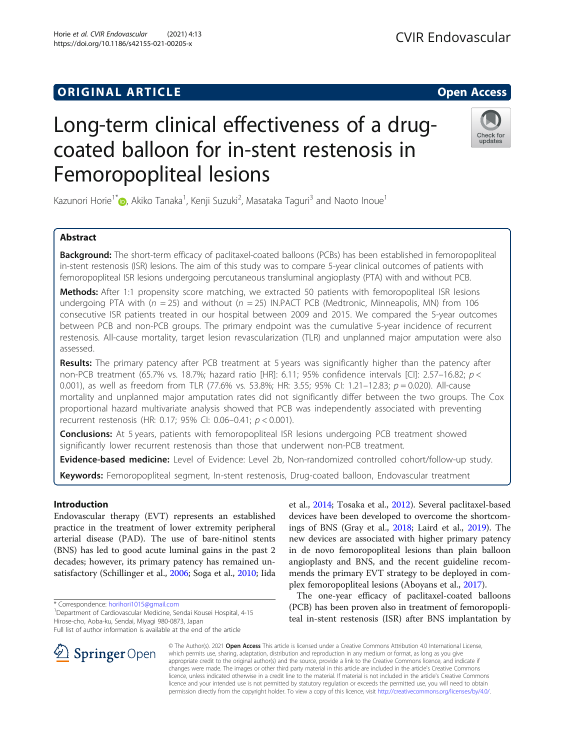# **ORIGINAL ARTICLE CONSERVANCE IN A LOCAL CONSERVANCE IN A LOCAL CONSERVANCE IN A LOCAL CONSERVANCE IN A LOCAL CONS**

# Long-term clinical effectiveness of a drugcoated balloon for in-stent restenosis in Femoropopliteal lesions

Kazunori Horie<sup>1\*</sup>�, Akiko Tanaka<sup>1</sup>, Kenji Suzuki<sup>2</sup>, Masataka Taguri<sup>3</sup> and Naoto Inoue<sup>1</sup>

# Abstract

**Background:** The short-term efficacy of paclitaxel-coated balloons (PCBs) has been established in femoropopliteal in-stent restenosis (ISR) lesions. The aim of this study was to compare 5-year clinical outcomes of patients with femoropopliteal ISR lesions undergoing percutaneous transluminal angioplasty (PTA) with and without PCB.

Methods: After 1:1 propensity score matching, we extracted 50 patients with femoropopliteal ISR lesions undergoing PTA with ( $n = 25$ ) and without ( $n = 25$ ) IN.PACT PCB (Medtronic, Minneapolis, MN) from 106 consecutive ISR patients treated in our hospital between 2009 and 2015. We compared the 5-year outcomes between PCB and non-PCB groups. The primary endpoint was the cumulative 5-year incidence of recurrent restenosis. All-cause mortality, target lesion revascularization (TLR) and unplanned major amputation were also assessed.

Results: The primary patency after PCB treatment at 5 years was significantly higher than the patency after non-PCB treatment (65.7% vs. 18.7%; hazard ratio [HR]: 6.11; 95% confidence intervals [CI]: 2.57-16.82; p < 0.001), as well as freedom from TLR (77.6% vs. 53.8%; HR: 3.55; 95% CI: 1.21–12.83;  $p = 0.020$ ). All-cause mortality and unplanned major amputation rates did not significantly differ between the two groups. The Cox proportional hazard multivariate analysis showed that PCB was independently associated with preventing recurrent restenosis (HR: 0.17; 95% CI: 0.06–0.41; p < 0.001).

**Conclusions:** At 5 years, patients with femoropopliteal ISR lesions undergoing PCB treatment showed significantly lower recurrent restenosis than those that underwent non-PCB treatment.

Evidence-based medicine: Level of Evidence: Level 2b, Non-randomized controlled cohort/follow-up study.

Keywords: Femoropopliteal segment, In-stent restenosis, Drug-coated balloon, Endovascular treatment

# Introduction

Endovascular therapy (EVT) represents an established practice in the treatment of lower extremity peripheral arterial disease (PAD). The use of bare-nitinol stents (BNS) has led to good acute luminal gains in the past 2 decades; however, its primary patency has remained unsatisfactory (Schillinger et al., [2006;](#page-8-0) Soga et al., [2010](#page-8-0); Iida

\* Correspondence: [horihori1015@gmail.com](mailto:horihori1015@gmail.com) <sup>1</sup>

<sup>1</sup> Department of Cardiovascular Medicine, Sendai Kousei Hospital, 4-15 Hirose-cho, Aoba-ku, Sendai, Miyagi 980-0873, Japan

Full list of author information is available at the end of the article

© The Author(s). 2021 Open Access This article is licensed under a Creative Commons Attribution 4.0 International License, which permits use, sharing, adaptation, distribution and reproduction in any medium or format, as long as you give appropriate credit to the original author(s) and the source, provide a link to the Creative Commons licence, and indicate if changes were made. The images or other third party material in this article are included in the article's Creative Commons licence, unless indicated otherwise in a credit line to the material. If material is not included in the article's Creative Commons licence and your intended use is not permitted by statutory regulation or exceeds the permitted use, you will need to obtain permission directly from the copyright holder. To view a copy of this licence, visit <http://creativecommons.org/licenses/by/4.0/>.

et al., [2014;](#page-7-0) Tosaka et al., [2012\)](#page-8-0). Several paclitaxel-based devices have been developed to overcome the shortcomings of BNS (Gray et al., [2018](#page-7-0); Laird et al., [2019\)](#page-7-0). The new devices are associated with higher primary patency in de novo femoropopliteal lesions than plain balloon angioplasty and BNS, and the recent guideline recommends the primary EVT strategy to be deployed in complex femoropopliteal lesions (Aboyans et al., [2017](#page-7-0)).

The one-year efficacy of paclitaxel-coated balloons (PCB) has been proven also in treatment of femoropopliteal in-stent restenosis (ISR) after BNS implantation by







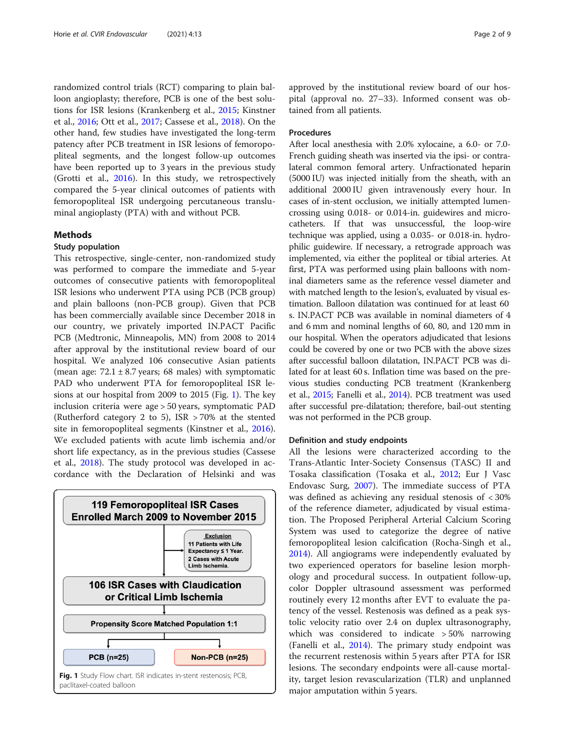<span id="page-1-0"></span>randomized control trials (RCT) comparing to plain balloon angioplasty; therefore, PCB is one of the best solutions for ISR lesions (Krankenberg et al., [2015;](#page-7-0) Kinstner et al., [2016](#page-7-0); Ott et al., [2017;](#page-8-0) Cassese et al., [2018\)](#page-7-0). On the other hand, few studies have investigated the long-term patency after PCB treatment in ISR lesions of femoropopliteal segments, and the longest follow-up outcomes have been reported up to 3 years in the previous study (Grotti et al., [2016\)](#page-7-0). In this study, we retrospectively compared the 5-year clinical outcomes of patients with femoropopliteal ISR undergoing percutaneous transluminal angioplasty (PTA) with and without PCB.

#### Methods

#### Study population

This retrospective, single-center, non-randomized study was performed to compare the immediate and 5-year outcomes of consecutive patients with femoropopliteal ISR lesions who underwent PTA using PCB (PCB group) and plain balloons (non-PCB group). Given that PCB has been commercially available since December 2018 in our country, we privately imported IN.PACT Pacific PCB (Medtronic, Minneapolis, MN) from 2008 to 2014 after approval by the institutional review board of our hospital. We analyzed 106 consecutive Asian patients (mean age:  $72.1 \pm 8.7$  years; 68 males) with symptomatic PAD who underwent PTA for femoropopliteal ISR lesions at our hospital from 2009 to 2015 (Fig. 1). The key inclusion criteria were age > 50 years, symptomatic PAD (Rutherford category 2 to 5), ISR > 70% at the stented site in femoropopliteal segments (Kinstner et al., [2016](#page-7-0)). We excluded patients with acute limb ischemia and/or short life expectancy, as in the previous studies (Cassese et al., [2018](#page-7-0)). The study protocol was developed in accordance with the Declaration of Helsinki and was



approved by the institutional review board of our hospital (approval no. 27–33). Informed consent was obtained from all patients.

# Procedures

After local anesthesia with 2.0% xylocaine, a 6.0- or 7.0- French guiding sheath was inserted via the ipsi- or contralateral common femoral artery. Unfractionated heparin (5000 IU) was injected initially from the sheath, with an additional 2000 IU given intravenously every hour. In cases of in-stent occlusion, we initially attempted lumencrossing using 0.018- or 0.014-in. guidewires and microcatheters. If that was unsuccessful, the loop-wire technique was applied, using a 0.035- or 0.018-in. hydrophilic guidewire. If necessary, a retrograde approach was implemented, via either the popliteal or tibial arteries. At first, PTA was performed using plain balloons with nominal diameters same as the reference vessel diameter and with matched length to the lesion's, evaluated by visual estimation. Balloon dilatation was continued for at least 60 s. IN.PACT PCB was available in nominal diameters of 4 and 6 mm and nominal lengths of 60, 80, and 120 mm in our hospital. When the operators adjudicated that lesions could be covered by one or two PCB with the above sizes after successful balloon dilatation, IN.PACT PCB was dilated for at least 60 s. Inflation time was based on the previous studies conducting PCB treatment (Krankenberg et al., [2015](#page-7-0); Fanelli et al., [2014](#page-7-0)). PCB treatment was used after successful pre-dilatation; therefore, bail-out stenting was not performed in the PCB group.

### Definition and study endpoints

All the lesions were characterized according to the Trans-Atlantic Inter-Society Consensus (TASC) II and Tosaka classification (Tosaka et al., [2012](#page-8-0); Eur J Vasc Endovasc Surg, [2007](#page-8-0)). The immediate success of PTA was defined as achieving any residual stenosis of < 30% of the reference diameter, adjudicated by visual estimation. The Proposed Peripheral Arterial Calcium Scoring System was used to categorize the degree of native femoropopliteal lesion calcification (Rocha-Singh et al., [2014](#page-8-0)). All angiograms were independently evaluated by two experienced operators for baseline lesion morphology and procedural success. In outpatient follow-up, color Doppler ultrasound assessment was performed routinely every 12 months after EVT to evaluate the patency of the vessel. Restenosis was defined as a peak systolic velocity ratio over 2.4 on duplex ultrasonography, which was considered to indicate > 50% narrowing (Fanelli et al., [2014\)](#page-7-0). The primary study endpoint was the recurrent restenosis within 5 years after PTA for ISR lesions. The secondary endpoints were all-cause mortality, target lesion revascularization (TLR) and unplanned major amputation within 5 years.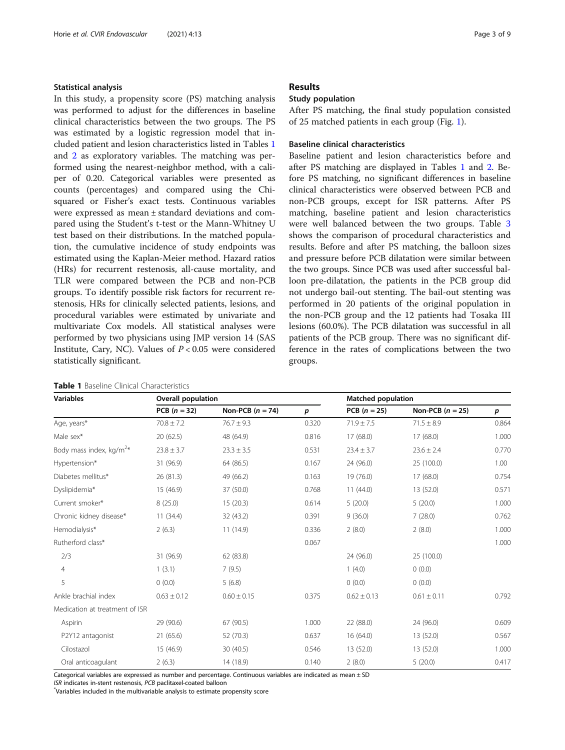# Statistical analysis

In this study, a propensity score (PS) matching analysis was performed to adjust for the differences in baseline clinical characteristics between the two groups. The PS was estimated by a logistic regression model that included patient and lesion characteristics listed in Tables 1 and [2](#page-3-0) as exploratory variables. The matching was performed using the nearest-neighbor method, with a caliper of 0.20. Categorical variables were presented as counts (percentages) and compared using the Chisquared or Fisher's exact tests. Continuous variables were expressed as mean ± standard deviations and compared using the Student's t-test or the Mann-Whitney U test based on their distributions. In the matched population, the cumulative incidence of study endpoints was estimated using the Kaplan-Meier method. Hazard ratios (HRs) for recurrent restenosis, all-cause mortality, and TLR were compared between the PCB and non-PCB groups. To identify possible risk factors for recurrent restenosis, HRs for clinically selected patients, lesions, and procedural variables were estimated by univariate and multivariate Cox models. All statistical analyses were performed by two physicians using JMP version 14 (SAS Institute, Cary, NC). Values of  $P < 0.05$  were considered statistically significant.

|  |  |  | <b>Table 1</b> Baseline Clinical Characteristics |
|--|--|--|--------------------------------------------------|
|--|--|--|--------------------------------------------------|

# Results

## Study population

After PS matching, the final study population consisted of 25 matched patients in each group (Fig. [1](#page-1-0)).

### Baseline clinical characteristics

Baseline patient and lesion characteristics before and after PS matching are displayed in Tables 1 and [2.](#page-3-0) Before PS matching, no significant differences in baseline clinical characteristics were observed between PCB and non-PCB groups, except for ISR patterns. After PS matching, baseline patient and lesion characteristics were well balanced between the two groups. Table [3](#page-4-0) shows the comparison of procedural characteristics and results. Before and after PS matching, the balloon sizes and pressure before PCB dilatation were similar between the two groups. Since PCB was used after successful balloon pre-dilatation, the patients in the PCB group did not undergo bail-out stenting. The bail-out stenting was performed in 20 patients of the original population in the non-PCB group and the 12 patients had Tosaka III lesions (60.0%). The PCB dilatation was successful in all patients of the PCB group. There was no significant difference in the rates of complications between the two groups.

| <b>Variables</b>                    | <b>Overall population</b> |                    |                  | <b>Matched population</b> |                    |       |
|-------------------------------------|---------------------------|--------------------|------------------|---------------------------|--------------------|-------|
|                                     | PCB $(n = 32)$            | Non-PCB $(n = 74)$ | $\boldsymbol{p}$ | $PCB (n = 25)$            | Non-PCB $(n = 25)$ | p     |
| Age, years*                         | $70.8 \pm 7.2$            | $76.7 \pm 9.3$     | 0.320            | $71.9 \pm 7.5$            | $71.5 \pm 8.9$     | 0.864 |
| Male sex*                           | 20(62.5)                  | 48 (64.9)          | 0.816            | 17(68.0)                  | 17(68.0)           | 1.000 |
| Body mass index, kg/m <sup>2*</sup> | $23.8 \pm 3.7$            | $23.3 \pm 3.5$     | 0.531            | $23.4 \pm 3.7$            | $23.6 \pm 2.4$     | 0.770 |
| Hypertension*                       | 31 (96.9)                 | 64 (86.5)          | 0.167            | 24 (96.0)                 | 25 (100.0)         | 1.00  |
| Diabetes mellitus*                  | 26 (81.3)                 | 49 (66.2)          | 0.163            | 19 (76.0)                 | 17 (68.0)          | 0.754 |
| Dyslipidemia*                       | 15 (46.9)                 | 37 (50.0)          | 0.768            | 11(44.0)                  | 13 (52.0)          | 0.571 |
| Current smoker*                     | 8(25.0)                   | 15(20.3)           | 0.614            | 5(20.0)                   | 5(20.0)            | 1.000 |
| Chronic kidney disease*             | 11(34.4)                  | 32 (43.2)          | 0.391            | 9(36.0)                   | 7(28.0)            | 0.762 |
| Hemodialysis*                       | 2(6.3)                    | 11(14.9)           | 0.336            | 2(8.0)                    | 2(8.0)             | 1.000 |
| Rutherford class*                   |                           |                    | 0.067            |                           |                    | 1.000 |
| 2/3                                 | 31 (96.9)                 | 62 (83.8)          |                  | 24 (96.0)                 | 25 (100.0)         |       |
| $\overline{4}$                      | 1(3.1)                    | 7(9.5)             |                  | 1(4.0)                    | (0.0)              |       |
| 5                                   | 0(0.0)                    | 5(6.8)             |                  | 0(0.0)                    | 0(0.0)             |       |
| Ankle brachial index                | $0.63 \pm 0.12$           | $0.60 \pm 0.15$    | 0.375            | $0.62 \pm 0.13$           | $0.61 \pm 0.11$    | 0.792 |
| Medication at treatment of ISR      |                           |                    |                  |                           |                    |       |
| Aspirin                             | 29 (90.6)                 | 67 (90.5)          | 1.000            | 22 (88.0)                 | 24 (96.0)          | 0.609 |
| P2Y12 antagonist                    | 21(65.6)                  | 52 (70.3)          | 0.637            | 16 (64.0)                 | 13 (52.0)          | 0.567 |
| Cilostazol                          | 15 (46.9)                 | 30 (40.5)          | 0.546            | 13 (52.0)                 | 13 (52.0)          | 1.000 |
| Oral anticoagulant                  | 2(6.3)                    | 14 (18.9)          | 0.140            | 2(8.0)                    | 5(20.0)            | 0.417 |

Categorical variables are expressed as number and percentage. Continuous variables are indicated as mean  $\pm$  SD

ISR indicates in-stent restenosis, PCB paclitaxel-coated balloon \*

Variables included in the multivariable analysis to estimate propensity score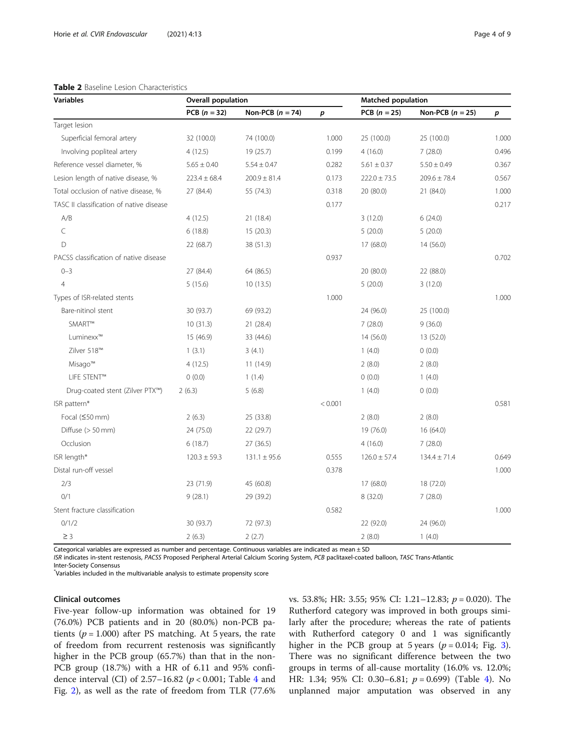<span id="page-3-0"></span>

| <b>Table 2</b> Baseline Lesion Characteristics |                    |                    |       |                           |                    |       |  |  |
|------------------------------------------------|--------------------|--------------------|-------|---------------------------|--------------------|-------|--|--|
| <b>Variables</b>                               | Overall population |                    |       | <b>Matched population</b> |                    |       |  |  |
|                                                | $PCB (n = 32)$     | Non-PCB $(n = 74)$ | р     | $PCB (n = 25)$            | Non-PCB $(n = 25)$ | p     |  |  |
| Target lesion                                  |                    |                    |       |                           |                    |       |  |  |
| Superficial femoral artery                     | 32 (100.0)         | 74 (100.0)         | 1.000 | 25 (100.0)                | 25 (100.0)         | 1.000 |  |  |
| Involving popliteal artery                     | 4(12.5)            | 19 (25.7)          | 0.199 | 4(16.0)                   | 7(28.0)            | 0.496 |  |  |
| Reference vessel diameter, %                   | $5.65 \pm 0.40$    | $5.54 + 0.47$      | 0.282 | $5.61 \pm 0.37$           | $5.50 \pm 0.49$    | 0.367 |  |  |

# Table 2 Baseline Lesion Characteristics

| Lesion length of native disease, %       | $223.4 \pm 68.4$ | $200.9 \pm 81.4$ | 0.173   | $222.0 \pm 73.5$ | $209.6 \pm 78.4$ | 0.567 |
|------------------------------------------|------------------|------------------|---------|------------------|------------------|-------|
| Total occlusion of native disease, %     | 27 (84.4)        | 55 (74.3)        | 0.318   | 20 (80.0)        | 21 (84.0)        | 1.000 |
| TASC II classification of native disease |                  |                  | 0.177   |                  |                  | 0.217 |
| A/B                                      | 4(12.5)          | 21 (18.4)        |         | 3(12.0)          | 6(24.0)          |       |
| C                                        | 6(18.8)          | 15(20.3)         |         | 5(20.0)          | 5(20.0)          |       |
| D                                        | 22 (68.7)        | 38 (51.3)        |         | 17 (68.0)        | 14 (56.0)        |       |
| PACSS classification of native disease   |                  |                  | 0.937   |                  |                  | 0.702 |
| $0 - 3$                                  | 27 (84.4)        | 64 (86.5)        |         | 20 (80.0)        | 22 (88.0)        |       |
| $\overline{4}$                           | 5(15.6)          | 10(13.5)         |         | 5(20.0)          | 3(12.0)          |       |
| Types of ISR-related stents              |                  |                  | 1.000   |                  |                  | 1.000 |
| Bare-nitinol stent                       | 30 (93.7)        | 69 (93.2)        |         | 24 (96.0)        | 25 (100.0)       |       |
| SMART™                                   | 10(31.3)         | 21 (28.4)        |         | 7(28.0)          | 9(36.0)          |       |
| Luminexx™                                | 15 (46.9)        | 33 (44.6)        |         | 14 (56.0)        | 13 (52.0)        |       |
| Zilver 518™                              | 1(3.1)           | 3(4.1)           |         | 1(4.0)           | 0(0.0)           |       |
| Misago™                                  | 4(12.5)          | 11(14.9)         |         | 2(8.0)           | 2(8.0)           |       |
| <b>LIFE STENT™</b>                       | 0(0.0)           | 1(1.4)           |         | 0(0.0)           | 1(4.0)           |       |
| Drug-coated stent (Zilver PTX™)          | 2(6.3)           | 5(6.8)           |         | 1(4.0)           | 0(0.0)           |       |
| ISR pattern*                             |                  |                  | < 0.001 |                  |                  | 0.581 |
| Focal $(50$ mm)                          | 2(6.3)           | 25 (33.8)        |         | 2(8.0)           | 2(8.0)           |       |
| Diffuse (> 50 mm)                        | 24 (75.0)        | 22 (29.7)        |         | 19 (76.0)        | 16 (64.0)        |       |
| Occlusion                                | 6(18.7)          | 27(36.5)         |         | 4(16.0)          | 7(28.0)          |       |
| ISR length*                              | $120.3 \pm 59.3$ | $131.1 \pm 95.6$ | 0.555   | $126.0 \pm 57.4$ | $134.4 \pm 71.4$ | 0.649 |
| Distal run-off vessel                    |                  |                  | 0.378   |                  |                  | 1.000 |
| 2/3                                      | 23 (71.9)        | 45 (60.8)        |         | 17 (68.0)        | 18 (72.0)        |       |
| 0/1                                      | 9(28.1)          | 29 (39.2)        |         | 8(32.0)          | 7(28.0)          |       |
| Stent fracture classification            |                  |                  | 0.582   |                  |                  | 1.000 |
| 0/1/2                                    | 30 (93.7)        | 72 (97.3)        |         | 22 (92.0)        | 24 (96.0)        |       |
| $\geq 3$                                 | 2(6.3)           | 2(2.7)           |         | 2(8.0)           | 1(4.0)           |       |

Categorical variables are expressed as number and percentage. Continuous variables are indicated as mean  $\pm$  SD

ISR indicates in-stent restenosis, PACSS Proposed Peripheral Arterial Calcium Scoring System, PCB paclitaxel-coated balloon, TASC Trans-Atlantic

Inter-Society Consensus

\* Variables included in the multivariable analysis to estimate propensity score

### Clinical outcomes

Five-year follow-up information was obtained for 19 (76.0%) PCB patients and in 20 (80.0%) non-PCB patients ( $p = 1.000$ ) after PS matching. At 5 years, the rate of freedom from recurrent restenosis was significantly higher in the PCB group (65.7%) than that in the non-PCB group (18.7%) with a HR of 6.11 and 95% confidence interval (CI) of 2.57–16.82 ( $p < 0.001$ ; Table [4](#page-4-0) and Fig. [2\)](#page-5-0), as well as the rate of freedom from TLR (77.6% vs. 53.8%; HR: 3.55; 95% CI: 1.21–12.83; p = 0.020). The Rutherford category was improved in both groups similarly after the procedure; whereas the rate of patients with Rutherford category 0 and 1 was significantly higher in the PCB group at 5 years ( $p = 0.014$ ; Fig. [3](#page-5-0)). There was no significant difference between the two groups in terms of all-cause mortality (16.0% vs. 12.0%; HR: 1.34; 95% CI: 0.30–6.81;  $p = 0.699$ ) (Table [4\)](#page-4-0). No unplanned major amputation was observed in any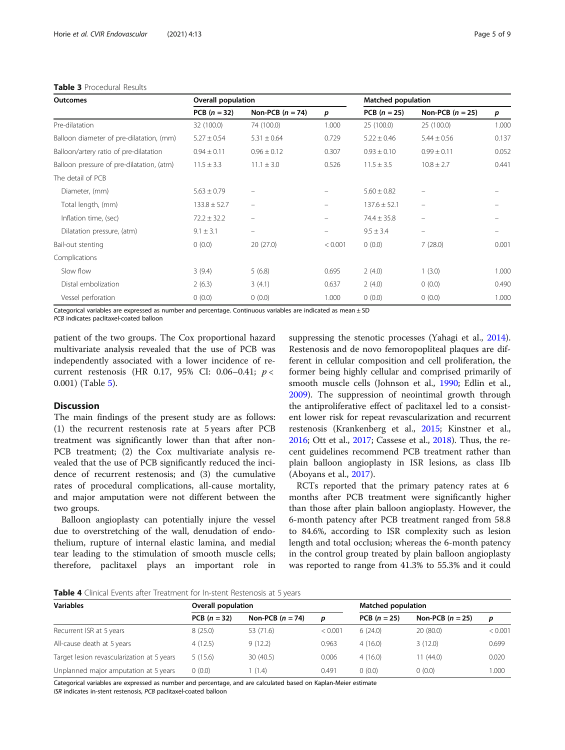#### <span id="page-4-0"></span>Table 3 Procedural Results

| <b>Outcomes</b>                           | <b>Overall population</b> |                          |                   | <b>Matched population</b> |                          |                  |
|-------------------------------------------|---------------------------|--------------------------|-------------------|---------------------------|--------------------------|------------------|
|                                           | $PCB (n = 32)$            | Non-PCB $(n = 74)$       | p                 | $PCB (n = 25)$            | Non-PCB $(n = 25)$       | $\boldsymbol{p}$ |
| Pre-dilatation                            | 32 (100.0)                | 74 (100.0)               | 1.000             | 25(100.0)                 | 25 (100.0)               | 1.000            |
| Balloon diameter of pre-dilatation, (mm)  | $5.27 \pm 0.54$           | $5.31 \pm 0.64$          | 0.729             | $5.22 \pm 0.46$           | $5.44 \pm 0.56$          | 0.137            |
| Balloon/artery ratio of pre-dilatation    | $0.94 \pm 0.11$           | $0.96 \pm 0.12$          | 0.307             | $0.93 \pm 0.10$           | $0.99 \pm 0.11$          | 0.052            |
| Balloon pressure of pre-dilatation, (atm) | $11.5 \pm 3.3$            | $11.1 \pm 3.0$           | 0.526             | $11.5 \pm 3.5$            | $10.8 \pm 2.7$           | 0.441            |
| The detail of PCB                         |                           |                          |                   |                           |                          |                  |
| Diameter, (mm)                            | $5.63 \pm 0.79$           | -                        |                   | $5.60 \pm 0.82$           | -                        |                  |
| Total length, (mm)                        | $133.8 \pm 52.7$          | $\overline{\phantom{0}}$ |                   | $137.6 \pm 52.1$          | -                        |                  |
| Inflation time, (sec)                     | $72.2 \pm 32.2$           | -                        |                   | $74.4 \pm 35.8$           | -                        |                  |
| Dilatation pressure, (atm)                | $9.1 \pm 3.1$             | $\overline{\phantom{m}}$ | $\qquad \qquad -$ | $9.5 \pm 3.4$             | $\overline{\phantom{m}}$ |                  |
| Bail-out stenting                         | 0(0.0)                    | 20(27.0)                 | < 0.001           | 0(0.0)                    | 7(28.0)                  | 0.001            |
| Complications                             |                           |                          |                   |                           |                          |                  |
| Slow flow                                 | 3(9.4)                    | 5(6.8)                   | 0.695             | 2(4.0)                    | 1(3.0)                   | 1.000            |
| Distal embolization                       | 2(6.3)                    | 3(4.1)                   | 0.637             | 2(4.0)                    | 0(0.0)                   | 0.490            |
| Vessel perforation                        | 0(0.0)                    | 0(0.0)                   | 1.000             | 0(0.0)                    | 0(0.0)                   | 1.000            |

Categorical variables are expressed as number and percentage. Continuous variables are indicated as mean ± SD

PCB indicates paclitaxel-coated balloon

patient of the two groups. The Cox proportional hazard multivariate analysis revealed that the use of PCB was independently associated with a lower incidence of recurrent restenosis (HR 0.17, 95% CI: 0.06–0.41; p < 0.001) (Table [5\)](#page-6-0).

# Discussion

The main findings of the present study are as follows: (1) the recurrent restenosis rate at 5 years after PCB treatment was significantly lower than that after non-PCB treatment; (2) the Cox multivariate analysis revealed that the use of PCB significantly reduced the incidence of recurrent restenosis; and (3) the cumulative rates of procedural complications, all-cause mortality, and major amputation were not different between the two groups.

Balloon angioplasty can potentially injure the vessel due to overstretching of the wall, denudation of endothelium, rupture of internal elastic lamina, and medial tear leading to the stimulation of smooth muscle cells; therefore, paclitaxel plays an important role in suppressing the stenotic processes (Yahagi et al., [2014](#page-8-0)). Restenosis and de novo femoropopliteal plaques are different in cellular composition and cell proliferation, the former being highly cellular and comprised primarily of smooth muscle cells (Johnson et al., [1990](#page-7-0); Edlin et al., [2009](#page-7-0)). The suppression of neointimal growth through the antiproliferative effect of paclitaxel led to a consistent lower risk for repeat revascularization and recurrent restenosis (Krankenberg et al., [2015;](#page-7-0) Kinstner et al., [2016](#page-7-0); Ott et al., [2017;](#page-8-0) Cassese et al., [2018](#page-7-0)). Thus, the recent guidelines recommend PCB treatment rather than plain balloon angioplasty in ISR lesions, as class IIb (Aboyans et al., [2017](#page-7-0)).

RCTs reported that the primary patency rates at 6 months after PCB treatment were significantly higher than those after plain balloon angioplasty. However, the 6-month patency after PCB treatment ranged from 58.8 to 84.6%, according to ISR complexity such as lesion length and total occlusion; whereas the 6-month patency in the control group treated by plain balloon angioplasty was reported to range from 41.3% to 55.3% and it could

**Table 4** Clinical Events after Treatment for In-stent Restenosis at 5 years

| <b>Variables</b>                           | Overall population |                    |         | <b>Matched population</b> |                    |         |
|--------------------------------------------|--------------------|--------------------|---------|---------------------------|--------------------|---------|
|                                            | PCB $(n = 32)$     | Non-PCB $(n = 74)$ | D       | PCB $(n = 25)$            | Non-PCB $(n = 25)$ | p       |
| Recurrent ISR at 5 years                   | 8(25.0)            | 53 (71.6)          | < 0.001 | 6(24.0)                   | 20(80.0)           | < 0.001 |
| All-cause death at 5 years                 | 4(12.5)            | 9(12.2)            | 0.963   | 4(16.0)                   | 3(12.0)            | 0.699   |
| Target lesion revascularization at 5 years | 5(15.6)            | 30 (40.5)          | 0.006   | 4(16.0)                   | 1(44.0)            | 0.020   |
| Unplanned major amputation at 5 years      | (0.0)              | (1.4)              | 0.491   | (0.0)                     | 0(0.0)             | 1.000   |

Categorical variables are expressed as number and percentage, and are calculated based on Kaplan-Meier estimate ISR indicates in-stent restenosis, PCB paclitaxel-coated balloon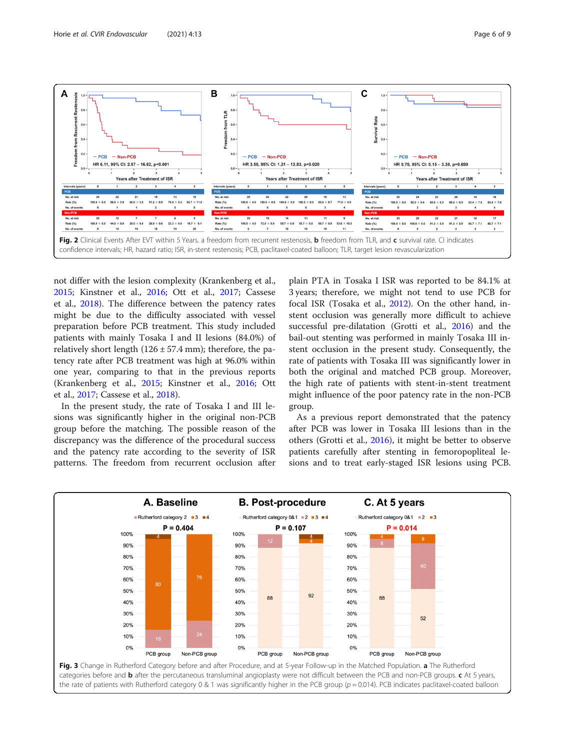<span id="page-5-0"></span>

not differ with the lesion complexity (Krankenberg et al., [2015](#page-7-0); Kinstner et al., [2016](#page-7-0); Ott et al., [2017;](#page-8-0) Cassese et al., [2018](#page-7-0)). The difference between the patency rates might be due to the difficulty associated with vessel preparation before PCB treatment. This study included patients with mainly Tosaka I and II lesions (84.0%) of relatively short length  $(126 \pm 57.4 \text{ mm})$ ; therefore, the patency rate after PCB treatment was high at 96.0% within one year, comparing to that in the previous reports (Krankenberg et al., [2015;](#page-7-0) Kinstner et al., [2016](#page-7-0); Ott et al., [2017](#page-8-0); Cassese et al., [2018\)](#page-7-0).

In the present study, the rate of Tosaka I and III lesions was significantly higher in the original non-PCB group before the matching. The possible reason of the discrepancy was the difference of the procedural success and the patency rate according to the severity of ISR patterns. The freedom from recurrent occlusion after plain PTA in Tosaka I ISR was reported to be 84.1% at 3 years; therefore, we might not tend to use PCB for focal ISR (Tosaka et al., [2012](#page-8-0)). On the other hand, instent occlusion was generally more difficult to achieve successful pre-dilatation (Grotti et al., [2016](#page-7-0)) and the bail-out stenting was performed in mainly Tosaka III instent occlusion in the present study. Consequently, the rate of patients with Tosaka III was significantly lower in both the original and matched PCB group. Moreover, the high rate of patients with stent-in-stent treatment might influence of the poor patency rate in the non-PCB group.

As a previous report demonstrated that the patency after PCB was lower in Tosaka III lesions than in the others (Grotti et al., [2016](#page-7-0)), it might be better to observe patients carefully after stenting in femoropopliteal lesions and to treat early-staged ISR lesions using PCB.

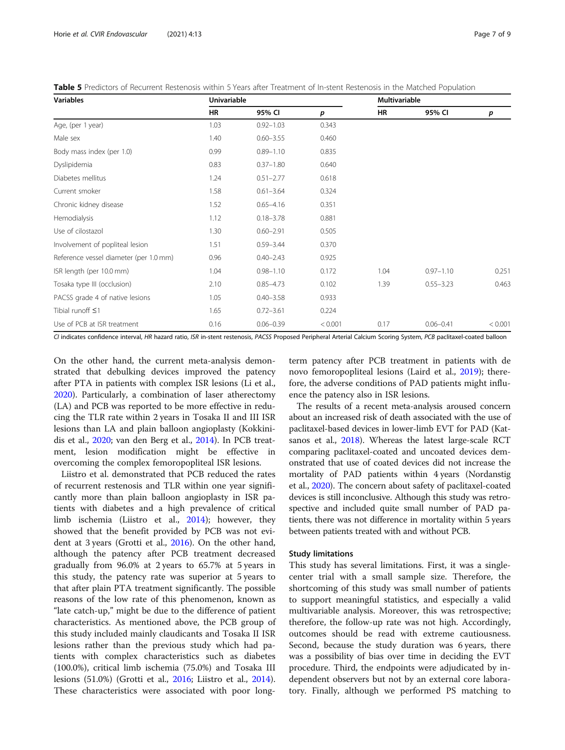| <b>Variables</b>                       | <b>Univariable</b> |               |         | <b>Multivariable</b> |               |         |
|----------------------------------------|--------------------|---------------|---------|----------------------|---------------|---------|
|                                        | HR                 | 95% CI        | р       | <b>HR</b>            | 95% CI        | p       |
| Age, (per 1 year)                      | 1.03               | $0.92 - 1.03$ | 0.343   |                      |               |         |
| Male sex                               | 1.40               | $0.60 - 3.55$ | 0.460   |                      |               |         |
| Body mass index (per 1.0)              | 0.99               | $0.89 - 1.10$ | 0.835   |                      |               |         |
| Dyslipidemia                           | 0.83               | $0.37 - 1.80$ | 0.640   |                      |               |         |
| Diabetes mellitus                      | 1.24               | $0.51 - 2.77$ | 0.618   |                      |               |         |
| Current smoker                         | 1.58               | $0.61 - 3.64$ | 0.324   |                      |               |         |
| Chronic kidney disease                 | 1.52               | $0.65 - 4.16$ | 0.351   |                      |               |         |
| Hemodialysis                           | 1.12               | $0.18 - 3.78$ | 0.881   |                      |               |         |
| Use of cilostazol                      | 1.30               | $0.60 - 2.91$ | 0.505   |                      |               |         |
| Involvement of popliteal lesion        | 1.51               | $0.59 - 3.44$ | 0.370   |                      |               |         |
| Reference vessel diameter (per 1.0 mm) | 0.96               | $0.40 - 2.43$ | 0.925   |                      |               |         |
| ISR length (per 10.0 mm)               | 1.04               | $0.98 - 1.10$ | 0.172   | 1.04                 | $0.97 - 1.10$ | 0.251   |
| Tosaka type III (occlusion)            | 2.10               | $0.85 - 4.73$ | 0.102   | 1.39                 | $0.55 - 3.23$ | 0.463   |
| PACSS grade 4 of native lesions        | 1.05               | $0.40 - 3.58$ | 0.933   |                      |               |         |
| Tibial runoff $\leq$ 1                 | 1.65               | $0.72 - 3.61$ | 0.224   |                      |               |         |
| Use of PCB at ISR treatment            | 0.16               | $0.06 - 0.39$ | < 0.001 | 0.17                 | $0.06 - 0.41$ | < 0.001 |

<span id="page-6-0"></span>Table 5 Predictors of Recurrent Restenosis within 5 Years after Treatment of In-stent Restenosis in the Matched Population

CI indicates confidence interval, HR hazard ratio, ISR in-stent restenosis, PACSS Proposed Peripheral Arterial Calcium Scoring System, PCB paclitaxel-coated balloon

On the other hand, the current meta-analysis demonstrated that debulking devices improved the patency after PTA in patients with complex ISR lesions (Li et al., [2020](#page-7-0)). Particularly, a combination of laser atherectomy (LA) and PCB was reported to be more effective in reducing the TLR rate within 2 years in Tosaka II and III ISR lesions than LA and plain balloon angioplasty (Kokkinidis et al., [2020;](#page-7-0) van den Berg et al., [2014\)](#page-8-0). In PCB treatment, lesion modification might be effective in overcoming the complex femoropopliteal ISR lesions.

Liistro et al. demonstrated that PCB reduced the rates of recurrent restenosis and TLR within one year significantly more than plain balloon angioplasty in ISR patients with diabetes and a high prevalence of critical limb ischemia (Liistro et al., [2014](#page-7-0)); however, they showed that the benefit provided by PCB was not evident at 3 years (Grotti et al., [2016\)](#page-7-0). On the other hand, although the patency after PCB treatment decreased gradually from 96.0% at 2 years to 65.7% at 5 years in this study, the patency rate was superior at 5 years to that after plain PTA treatment significantly. The possible reasons of the low rate of this phenomenon, known as "late catch-up," might be due to the difference of patient characteristics. As mentioned above, the PCB group of this study included mainly claudicants and Tosaka II ISR lesions rather than the previous study which had patients with complex characteristics such as diabetes (100.0%), critical limb ischemia (75.0%) and Tosaka III lesions (51.0%) (Grotti et al., [2016;](#page-7-0) Liistro et al., [2014](#page-7-0)). These characteristics were associated with poor long-

term patency after PCB treatment in patients with de novo femoropopliteal lesions (Laird et al., [2019\)](#page-7-0); therefore, the adverse conditions of PAD patients might influence the patency also in ISR lesions.

The results of a recent meta-analysis aroused concern about an increased risk of death associated with the use of paclitaxel-based devices in lower-limb EVT for PAD (Katsanos et al., [2018](#page-7-0)). Whereas the latest large-scale RCT comparing paclitaxel-coated and uncoated devices demonstrated that use of coated devices did not increase the mortality of PAD patients within 4 years (Nordanstig et al., [2020\)](#page-7-0). The concern about safety of paclitaxel-coated devices is still inconclusive. Although this study was retrospective and included quite small number of PAD patients, there was not difference in mortality within 5 years between patients treated with and without PCB.

#### Study limitations

This study has several limitations. First, it was a singlecenter trial with a small sample size. Therefore, the shortcoming of this study was small number of patients to support meaningful statistics, and especially a valid multivariable analysis. Moreover, this was retrospective; therefore, the follow-up rate was not high. Accordingly, outcomes should be read with extreme cautiousness. Second, because the study duration was 6 years, there was a possibility of bias over time in deciding the EVT procedure. Third, the endpoints were adjudicated by independent observers but not by an external core laboratory. Finally, although we performed PS matching to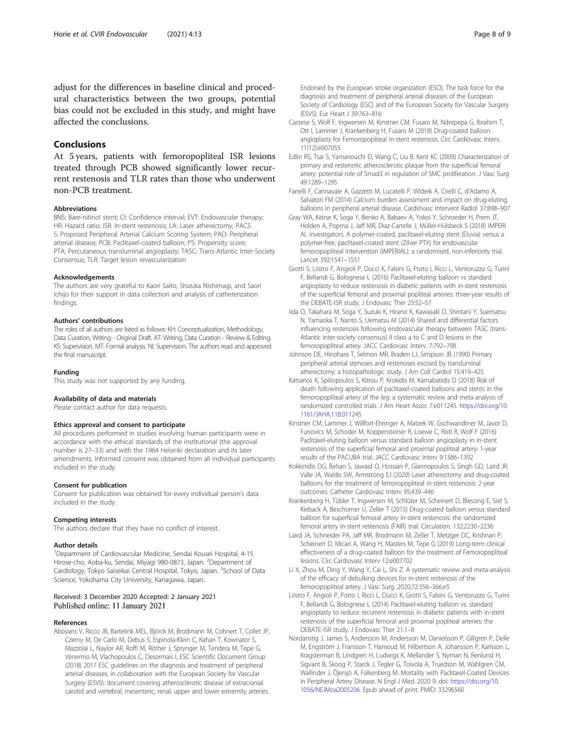<span id="page-7-0"></span>adjust for the differences in baseline clinical and procedural characteristics between the two groups, potential bias could not be excluded in this study, and might have affected the conclusions.

# Conclusions

At 5 years, patients with femoropopliteal ISR lesions treated through PCB showed significantly lower recurrent restenosis and TLR rates than those who underwent non-PCB treatment.

#### Abbreviations

BNS: Bare-nitinol stent; CI: Confidence interval; EVT: Endovascular therapy; HR: Hazard ratio; ISR: In-stent restenosis; LA: Laser atherectomy; PACS S: Proposed Peripheral Arterial Calcium Scoring System; PAD: Peripheral arterial disease; PCB: Paclitaxel-coated balloon; PS: Propensity score; PTA: Percutaneous transluminal angioplasty; TASC: Trans-Atlantic Inter-Society Consensus; TLR: Target lesion revascularization

#### Acknowledgements

The authors are very grateful to Kaori Saito, Shizuka Nishimagi, and Saori Ichijo for their support in data collection and analysis of catheterization findings.

#### Authors' contributions

The roles of all authors are listed as follows: KH: Conceptualization, Methodology, Data Curation, Writing - Original Draft. AT: Writing, Data Curation - Review & Editing. KS: Supervision. MT: Formal analysis. NI: Supervision. The authors read and approved the final manuscript.

#### Funding

This study was not supported by any funding.

#### Availability of data and materials

Please contact author for data requests.

#### Ethics approval and consent to participate

All procedures performed in studies involving human participants were in accordance with the ethical standards of the institutional (the approval number is 27–33) and with the 1964 Helsinki declaration and its later amendments. Informed consent was obtained from all individual participants included in the study.

#### Consent for publication

Consent for publication was obtained for every individual person's data included in the study.

#### Competing interests

The authors declare that they have no conflict of interest.

#### Author details

<sup>1</sup>Department of Cardiovascular Medicine, Sendai Kousei Hospital, 4-15 Hirose-cho, Aoba-ku, Sendai, Miyagi 980-0873, Japan. <sup>2</sup>Department of Cardiology, Tokyo Saiseikai Central Hospital, Tokyo, Japan. <sup>3</sup>School of Data Science, Yokohama City University, Kanagawa, Japan.

# Received: 3 December 2020 Accepted: 2 January 2021

#### References

Aboyans V, Ricco JB, Bartelink MEL, Björck M, Brodmann M, Cohnert T, Collet JP, Czerny M, De Carlo M, Debus S, Espinola-Klein C, Kahan T, Kownator S, Mazzolai L, Naylor AR, Roffi M, Röther J, Sprynger M, Tendera M, Tepe G, Venermo M, Vlachopoulos C, Desormais I, ESC Scientific Document Group (2018) 2017 ESC guidelines on the diagnosis and treatment of peripheral arterial diseases, in collaboration with the European Society for Vascular Surgery (ESVS): document covering atherosclerotic disease of extracranial carotid and vertebral, mesenteric, renal, upper and lower extremity arteries.

- Society of Cardiology (ESC) and of the European Society for Vascular Surgery (ESVS). Eur Heart J 39:763–816 Cassese S, Wolf F, Ingwersen M, Kinstner CM, Fusaro M, Ndrepepa G, Ibrahim T, Ott I, Lammer J, Krankenberg H, Fusaro M (2018) Drug-coated balloon
- angioplasty for Femoropopliteal in-stent restenosis. Circ Cardiovasc Interv. 11(12):e007055 Edlin RS, Tsai S, Yamanouchi D, Wang C, Liu B, Kent KC (2009) Characterization of
- primary and restenotic atherosclerotic plaque from the superficial femoral artery: potential role of Smad3 in regulation of SMC proliferation. J Vasc Surg 49:1289–1295
- Fanelli F, Cannavale A, Gazzetti M, Lucatelli P, Wlderk A, Cirelli C, d'Adamo A, Salvatori FM (2014) Calcium burden assessment and impact on drug-eluting balloons in peripheral arterial disease. Cardiovasc Intervent Radiol 37:898–907
- Gray WA, Keirse K, Soga Y, Benko A, Babaev A, Yokoi Y, Schroeder H, Prem JT, Holden A, Popma J, Jaff MR, Diaz-Cartelle J, Müller-Hülsbeck S (2018) IMPERI AL investigators. A polymer-coated, paclitaxel-eluting stent (Eluvia) versus a polymer-free, paclitaxel-coated stent (Zilver PTX) for endovascular femoropopliteal intervention (IMPERIAL): a randomised, non-inferiority trial. Lancet 392:1541–1551
- Grotti S, Liistro F, Angioli P, Ducci K, Falsini G, Porto I, Ricci L, Ventoruzzo G, Turini F, Bellandi G, Bolognese L (2016) Paclitaxel-eluting balloon vs standard angioplasty to reduce restenosis in diabetic patients with in-stent restenosis of the superficial femoral and proximal popliteal arteries: three-year results of the DEBATE-ISR study. J Endovasc Ther 23:52–57
- Iida O, Takahara M, Soga Y, Suzuki K, Hirano K, Kawasaki D, Shintani Y, Suematsu N, Yamaoka T, Nanto S, Uematsu M (2014) Shared and differential factors influencing restenosis following endovascular therapy between TASC (trans-Atlantic inter-society consensus) II class a to C and D lesions in the femoropopliteal artery. JACC Cardiovasc Interv. 7:792–798
- Johnson DE, Hinohara T, Selmon MR, Braden LJ, Simpson JB (1990) Primary peripheral arterial stenoses and restenoses excised by transluminal atherectomy: a histopathologic study. J Am Coll Cardiol 15:419–425
- Katsanos K, Spiliopoulos S, Kitrou P, Krokidis M, Karnabatidis D (2018) Risk of death following application of paclitaxel-coated balloons and stents in the femoropopliteal artery of the leg: a systematic review and meta-analysis of randomized controlled trials. J Am Heart Assoc 7:e011245. [https://doi.org/10.](https://doi.org/10.1161/JAHA.118.011245) [1161/JAHA.118.011245](https://doi.org/10.1161/JAHA.118.011245)
- Kinstner CM, Lammer J, Willfort-Ehringer A, Matzek W, Gschwandtner M, Javor D, Funovics M, Schoder M, Koppensteiner R, Loewe C, Ristl R, Wolf F (2016) Paclitaxel-eluting balloon versus standard balloon angioplasty in in-stent restenosis of the superficial femoral and proximal popliteal artery: 1-year results of the PACUBA trial. JACC Cardiovasc Interv 9:1386–1392
- Kokkinidis DG, Behan S, Jawaid O, Hossain P, Giannopoulos S, Singh GD, Laird JR, Valle JA, Waldo SW, Armstrong EJ (2020) Laser atherectomy and drug-coated balloons for the treatment of femoropopliteal in-stent restenosis: 2-year outcomes. Catheter Cardiovasc Interv 95:439–446
- Krankenberg H, Tübler T, Ingwersen M, Schlüter M, Scheinert D, Blessing E, Sixt S, Kieback A, Beschorner U, Zeller T (2015) Drug-coated balloon versus standard balloon for superficial femoral artery in-stent restenosis: the randomized femoral artery in-stent restenosis (FAIR) trial. Circulation. 132:2230–2236
- Laird JA, Schneider PA, Jaff MR, Brodmann M, Zeller T, Metzger DC, Krishnan P, Scheinert D, Micari A, Wang H, Masters M, Tepe G (2019) Long-term clinical effectiveness of a drug-coated balloon for the treatment of Femoropopliteal lesions. Circ Cardiovasc Interv 12:e007702
- Li X, Zhou M, Ding Y, Wang Y, Cai L, Shi Z. A systematic review and meta-analysis of the efficacy of debulking devices for in-stent restenosis of the femoropopliteal artery. J Vasc Surg. 2020;72:356–366.e5
- Liistro F, Angioli P, Porto I, Ricci L, Ducci K, Grotti S, Falsini G, Ventoruzzo G, Turini F, Bellandi G, Bolognese L (2014) Paclitaxel-eluting balloon vs. standard angioplasty to reduce recurrent restenosis in diabetic patients with in-stent restenosis of the superficial femoral and proximal popliteal arteries: the DEBATE-ISR study. J Endovasc Ther 21:1–8
- Nordanstig J, James S, Andersson M, Andersson M, Danielsson P, Gillgren P, Delle M, Engström J, Fransson T, Hamoud M, Hilbertson A, Johansson P, Karlsson L, Kragsterman B, Lindgren H, Ludwigs K, Mellander S, Nyman N, Renlund H, Sigvant B, Skoog P, Starck J, Tegler G, Toivola A, Truedson M, Wahlgren CM, Wallinder J, Öjersjö A, Falkenberg M. Mortality with Paclitaxel-Coated Devices in Peripheral Artery Disease. N Engl J Med. 2020 9. doi: [https://doi.org/10.](https://doi.org/10.1056/NEJMoa2005206) [1056/NEJMoa2005206](https://doi.org/10.1056/NEJMoa2005206). Epub ahead of print. PMID: 33296560